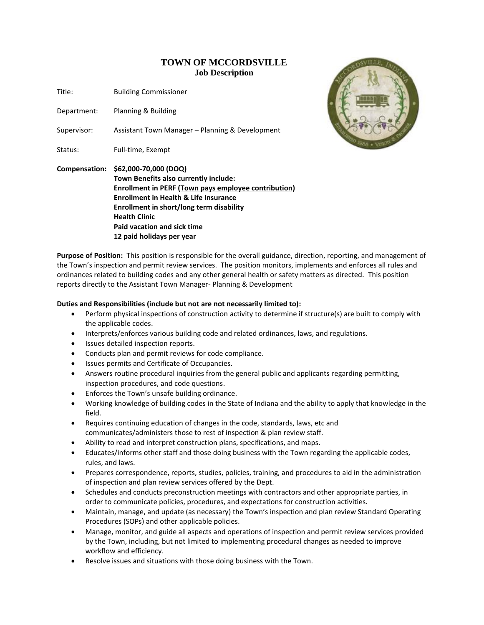## **TOWN OF MCCORDSVILLE Job Description**

Title: Building Commissioner

Department: Planning & Building

Supervisor: Assistant Town Manager – Planning & Development

Status: Full-time, Exempt





**Purpose of Position:** This position is responsible for the overall guidance, direction, reporting, and management of the Town's inspection and permit review services. The position monitors, implements and enforces all rules and ordinances related to building codes and any other general health or safety matters as directed. This position reports directly to the Assistant Town Manager- Planning & Development

## **Duties and Responsibilities (include but not are not necessarily limited to):**

- Perform physical inspections of construction activity to determine if structure(s) are built to comply with the applicable codes.
- Interprets/enforces various building code and related ordinances, laws, and regulations.
- Issues detailed inspection reports.
- Conducts plan and permit reviews for code compliance.
- Issues permits and Certificate of Occupancies.
- Answers routine procedural inquiries from the general public and applicants regarding permitting, inspection procedures, and code questions.
- Enforces the Town's unsafe building ordinance.
- Working knowledge of building codes in the State of Indiana and the ability to apply that knowledge in the field.
- Requires continuing education of changes in the code, standards, laws, etc and communicates/administers those to rest of inspection & plan review staff.
- Ability to read and interpret construction plans, specifications, and maps.
- Educates/informs other staff and those doing business with the Town regarding the applicable codes, rules, and laws.
- Prepares correspondence, reports, studies, policies, training, and procedures to aid in the administration of inspection and plan review services offered by the Dept.
- Schedules and conducts preconstruction meetings with contractors and other appropriate parties, in order to communicate policies, procedures, and expectations for construction activities.
- Maintain, manage, and update (as necessary) the Town's inspection and plan review Standard Operating Procedures (SOPs) and other applicable policies.
- Manage, monitor, and guide all aspects and operations of inspection and permit review services provided by the Town, including, but not limited to implementing procedural changes as needed to improve workflow and efficiency.
- Resolve issues and situations with those doing business with the Town.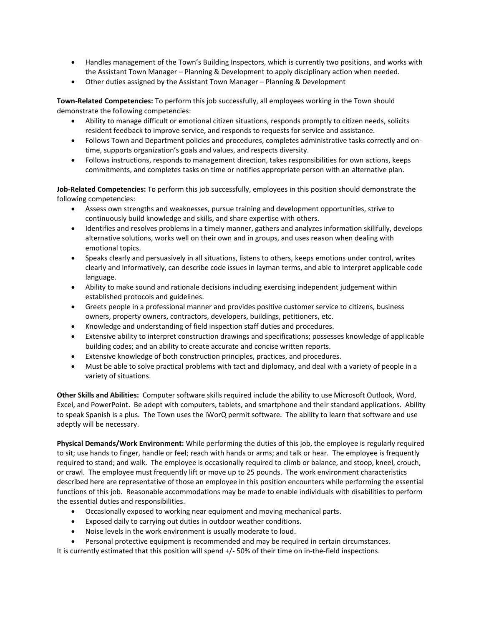- Handles management of the Town's Building Inspectors, which is currently two positions, and works with the Assistant Town Manager – Planning & Development to apply disciplinary action when needed.
- Other duties assigned by the Assistant Town Manager Planning & Development

**Town-Related Competencies:** To perform this job successfully, all employees working in the Town should demonstrate the following competencies:

- Ability to manage difficult or emotional citizen situations, responds promptly to citizen needs, solicits resident feedback to improve service, and responds to requests for service and assistance.
- Follows Town and Department policies and procedures, completes administrative tasks correctly and ontime, supports organization's goals and values, and respects diversity.
- Follows instructions, responds to management direction, takes responsibilities for own actions, keeps commitments, and completes tasks on time or notifies appropriate person with an alternative plan.

**Job-Related Competencies:** To perform this job successfully, employees in this position should demonstrate the following competencies:

- Assess own strengths and weaknesses, pursue training and development opportunities, strive to continuously build knowledge and skills, and share expertise with others.
- Identifies and resolves problems in a timely manner, gathers and analyzes information skillfully, develops alternative solutions, works well on their own and in groups, and uses reason when dealing with emotional topics.
- Speaks clearly and persuasively in all situations, listens to others, keeps emotions under control, writes clearly and informatively, can describe code issues in layman terms, and able to interpret applicable code language.
- Ability to make sound and rationale decisions including exercising independent judgement within established protocols and guidelines.
- Greets people in a professional manner and provides positive customer service to citizens, business owners, property owners, contractors, developers, buildings, petitioners, etc.
- Knowledge and understanding of field inspection staff duties and procedures.
- Extensive ability to interpret construction drawings and specifications; possesses knowledge of applicable building codes; and an ability to create accurate and concise written reports.
- Extensive knowledge of both construction principles, practices, and procedures.
- Must be able to solve practical problems with tact and diplomacy, and deal with a variety of people in a variety of situations.

**Other Skills and Abilities:** Computer software skills required include the ability to use Microsoft Outlook, Word, Excel, and PowerPoint. Be adept with computers, tablets, and smartphone and their standard applications.Ability to speak Spanish is a plus.The Town uses the iWorQ permit software. The ability to learn that software and use adeptly will be necessary.

**Physical Demands/Work Environment:** While performing the duties of this job, the employee is regularly required to sit; use hands to finger, handle or feel; reach with hands or arms; and talk or hear. The employee is frequently required to stand; and walk. The employee is occasionally required to climb or balance, and stoop, kneel, crouch, or crawl. The employee must frequently lift or move up to 25 pounds. The work environment characteristics described here are representative of those an employee in this position encounters while performing the essential functions of this job. Reasonable accommodations may be made to enable individuals with disabilities to perform the essential duties and responsibilities.

- Occasionally exposed to working near equipment and moving mechanical parts.
- Exposed daily to carrying out duties in outdoor weather conditions.
- Noise levels in the work environment is usually moderate to loud.
- Personal protective equipment is recommended and may be required in certain circumstances.

It is currently estimated that this position will spend +/- 50% of their time on in-the-field inspections.